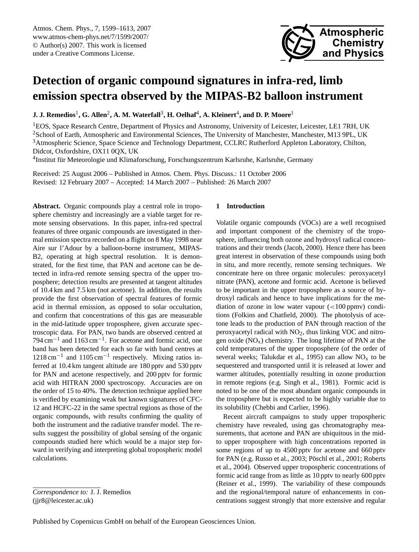<span id="page-0-0"></span>Atmos. Chem. Phys., 7, 1599–1613, 2007 www.atmos-chem-phys.net/7/1599/2007/ © Author(s) 2007. This work is licensed under a Creative Commons License.



# **Detection of organic compound signatures in infra-red, limb emission spectra observed by the MIPAS-B2 balloon instrument**

 ${\bf J. J.~Remedios<sup>1</sup>,  ${\bf G.~Allen^2, A.~M.~Waterfall^3, H.~Oelhaf^4, A.~Kleinert^4, and D.~P.~Moore^1}$$ 

<sup>1</sup>EOS, Space Research Centre, Department of Physics and Astronomy, University of Leicester, Leicester, LE1 7RH, UK <sup>2</sup>School of Earth, Atmospheric and Environmental Sciences, The University of Manchester, Manchester, M13 9PL, UK <sup>3</sup>Atmospheric Science, Space Science and Technology Department, CCLRC Rutherford Appleton Laboratory, Chilton, Didcot, Oxfordshire, OX11 0QX, UK

<sup>4</sup>Institut für Meteorologie und Klimaforschung, Forschungszentrum Karlsruhe, Karlsruhe, Germany

Received: 25 August 2006 – Published in Atmos. Chem. Phys. Discuss.: 11 October 2006 Revised: 12 February 2007 – Accepted: 14 March 2007 – Published: 26 March 2007

**Abstract.** Organic compounds play a central role in troposphere chemistry and increasingly are a viable target for remote sensing observations. In this paper, infra-red spectral features of three organic compounds are investigated in thermal emission spectra recorded on a flight on 8 May 1998 near Aire sur l'Adour by a balloon-borne instrument, MIPAS-B2, operating at high spectral resolution. It is demonstrated, for the first time, that PAN and acetone can be detected in infra-red remote sensing spectra of the upper troposphere; detection results are presented at tangent altitudes of 10.4 km and 7.5 km (not acetone). In addition, the results provide the first observation of spectral features of formic acid in thermal emission, as opposed to solar occultation, and confirm that concentrations of this gas are measurable in the mid-latitude upper troposphere, given accurate spectroscopic data. For PAN, two bands are observed centred at 794 cm<sup>-1</sup> and 1163 cm<sup>-1</sup>. For acetone and formic acid, one band has been detected for each so far with band centres at 1218 cm<sup>-1</sup> and 1105 cm<sup>-1</sup> respectively. Mixing ratios inferred at 10.4 km tangent altitude are 180 pptv and 530 pptv for PAN and acetone respectively, and 200 pptv for formic acid with HITRAN 2000 spectroscopy. Accuracies are on the order of 15 to 40%. The detection technique applied here is verified by examining weak but known signatures of CFC-12 and HCFC-22 in the same spectral regions as those of the organic compounds, with results confirming the quality of both the instrument and the radiative transfer model. The results suggest the possibility of global sensing of the organic compounds studied here which would be a major step forward in verifying and interpreting global tropospheric model calculations.

## **1 Introduction**

Volatile organic compounds (VOCs) are a well recognised and important component of the chemistry of the troposphere, influencing both ozone and hydroxyl radical concentrations and their trends [\(Jacob,](#page-13-0) [2000\)](#page-13-0). Hence there has been great interest in observation of these compounds using both in situ, and more recently, remote sensing techniques. We concentrate here on three organic molecules: peroxyacetyl nitrate (PAN), acetone and formic acid. Acetone is believed to be important in the upper troposphere as a source of hydroxyl radicals and hence to have implications for the mediation of ozone in low water vapour (<100 ppmv) conditions [\(Folkins and Chatfield,](#page-12-0) [2000\)](#page-12-0). The photolysis of acetone leads to the production of PAN through reaction of the peroxyacetyl radical with  $NO<sub>2</sub>$ , thus linking VOC and nitrogen oxide  $(NO<sub>x</sub>)$  chemistry. The long lifetime of PAN at the cold temperatures of the upper troposphere (of the order of several weeks; [Talukdar et al.,](#page-14-0) [1995\)](#page-14-0) can allow  $NO<sub>x</sub>$  to be sequestered and transported until it is released at lower and warmer altitudes, potentially resulting in ozone production in remote regions (e.g. [Singh et al.,](#page-14-1) [1981\)](#page-14-1). Formic acid is noted to be one of the most abundant organic compounds in the troposphere but is expected to be highly variable due to its solubility [\(Chebbi and Carlier,](#page-12-1) [1996\)](#page-12-1).

Recent aircraft campaigns to study upper tropospheric chemistry have revealed, using gas chromatography measurements, that acetone and PAN are ubiquitous in the midto upper troposphere with high concentrations reported in some regions of up to 4500 pptv for acetone and 660 pptv for PAN (e.g. [Russo et al.,](#page-13-1) [2003;](#page-13-1) Pöschl et al., [2001;](#page-13-2) [Roberts](#page-13-3) [et al.,](#page-13-3) [2004\)](#page-13-3). Observed upper tropospheric concentrations of formic acid range from as little as 10 pptv to nearly 600 pptv [\(Reiner et al.,](#page-13-4) [1999\)](#page-13-4). The variability of these compounds and the regional/temporal nature of enhancements in concentrations suggest strongly that more extensive and regular

*Correspondence to:* J. J. Remedios (jjr8@leicester.ac.uk)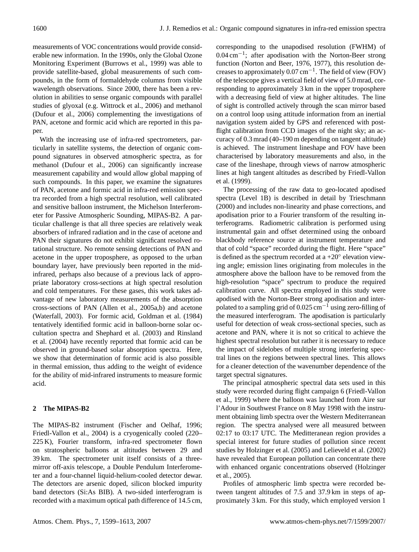measurements of VOC concentrations would provide considerable new information. In the 1990s, only the Global Ozone Monitoring Experiment [\(Burrows et al.,](#page-12-2) [1999\)](#page-12-2) was able to provide satellite-based, global measurements of such compounds, in the form of formaldehyde columns from visible wavelength observations. Since 2000, there has been a revolution in abilities to sense organic compounds with parallel studies of glyoxal (e.g. [Wittrock et al.,](#page-14-2) [2006\)](#page-14-2) and methanol [\(Dufour et al.,](#page-12-3) [2006\)](#page-12-3) complementing the investigations of PAN, acetone and formic acid which are reported in this paper.

With the increasing use of infra-red spectrometers, particularly in satellite systems, the detection of organic compound signatures in observed atmospheric spectra, as for methanol [\(Dufour et al.,](#page-12-3) [2006\)](#page-12-3) can significantly increase measurement capability and would allow global mapping of such compounds. In this paper, we examine the signatures of PAN, acetone and formic acid in infra-red emission spectra recorded from a high spectral resolution, well calibrated and sensitive balloon instrument, the Michelson Interferometer for Passive Atmospheric Sounding, MIPAS-B2. A particular challenge is that all three species are relatively weak absorbers of infrared radiation and in the case of acetone and PAN their signatures do not exhibit significant resolved rotational structure. No remote sensing detections of PAN and acetone in the upper troposphere, as opposed to the urban boundary layer, have previously been reported in the midinfrared, perhaps also because of a previous lack of appropriate laboratory cross-sections at high spectral resolution and cold temperatures. For these gases, this work takes advantage of new laboratory measurements of the absorption cross-sections of PAN [\(Allen et al.,](#page-12-4) [2005a,](#page-12-4)[b\)](#page-12-5) and acetone [\(Waterfall,](#page-14-3) [2003\)](#page-14-3). For formic acid, [Goldman et al.](#page-13-5) [\(1984\)](#page-13-5) tentatively identified formic acid in balloon-borne solar occultation spectra and [Shephard et al.](#page-13-6) [\(2003\)](#page-13-6) and [Rinsland](#page-13-7) [et al.](#page-13-7) [\(2004\)](#page-13-7) have recently reported that formic acid can be observed in ground-based solar absorption spectra. Here, we show that determination of formic acid is also possible in thermal emission, thus adding to the weight of evidence for the ability of mid-infrared instruments to measure formic acid.

# **2 The MIPAS-B2**

The MIPAS-B2 instrument [\(Fischer and Oelhaf,](#page-12-6) [1996;](#page-12-6) [Friedl-Vallon et al.,](#page-13-8) [2004\)](#page-13-8) is a cryogenically cooled (220– 225 K), Fourier transform, infra-red spectrometer flown on stratospheric balloons at altitudes between 29 and 39 km. The spectrometer unit itself consists of a threemirror off-axis telescope, a Double Pendulum Interferometer and a four-channel liquid-helium-cooled detector dewar. The detectors are arsenic doped, silicon blocked impurity band detectors (Si:As BIB). A two-sided interferogram is recorded with a maximum optical path difference of 14.5 cm, corresponding to the unapodised resolution (FWHM) of 0.04 cm−<sup>1</sup> ; after apodisation with the Norton-Beer strong function [\(Norton and Beer,](#page-13-9) [1976,](#page-13-9) [1977\)](#page-13-10), this resolution decreases to approximately  $0.07 \text{ cm}^{-1}$ . The field of view (FOV) of the telescope gives a vertical field of view of 5.0 mrad, corresponding to approximately 3 km in the upper troposphere with a decreasing field of view at higher altitudes. The line of sight is controlled actively through the scan mirror based on a control loop using attitude information from an inertial navigation system aided by GPS and referenced with postflight calibration from CCD images of the night sky; an accuracy of 0.3 mrad (40–190 m depending on tangent altitude) is achieved. The instrument lineshape and FOV have been characterised by laboratory measurements and also, in the case of the lineshape, through views of narrow atmospheric lines at high tangent altitudes as described by [Friedl-Vallon](#page-12-7) [et al.](#page-12-7) [\(1999\)](#page-12-7).

The processing of the raw data to geo-located apodised spectra (Level 1B) is described in detail by [Trieschmann](#page-14-4) [\(2000\)](#page-14-4) and includes non-linearity and phase corrections, and apodisation prior to a Fourier transform of the resulting interferograms. Radiometric calibration is performed using instrumental gain and offset determined using the onboard blackbody reference source at instrument temperature and that of cold "space" recorded during the flight. Here "space" is defined as the spectrum recorded at a  $+20^{\circ}$  elevation viewing angle; emission lines originating from molecules in the atmosphere above the balloon have to be removed from the high-resolution "space" spectrum to produce the required calibration curve. All spectra employed in this study were apodised with the Norton-Beer strong apodisation and interpolated to a sampling grid of  $0.025$  cm<sup>-1</sup> using zero-filling of the measured interferogram. The apodisation is particularly useful for detection of weak cross-sectional species, such as acetone and PAN, where it is not so critical to achieve the highest spectral resolution but rather it is necessary to reduce the impact of sidelobes of multiple strong interfering spectral lines on the regions between spectral lines. This allows for a cleaner detection of the wavenumber dependence of the target spectral signatures.

The principal atmospheric spectral data sets used in this study were recorded during flight campaign 6 [\(Friedl-Vallon](#page-12-7) [et al.,](#page-12-7) [1999\)](#page-12-7) where the balloon was launched from Aire sur l'Adour in Southwest France on 8 May 1998 with the instrument obtaining limb spectra over the Western Mediterranean region. The spectra analysed were all measured between 02:17 to 03:17 UTC. The Meditteranean region provides a special interest for future studies of pollution since recent studies by [Holzinger et al.](#page-13-11) [\(2005\)](#page-13-11) and [Lelieveld et al.](#page-13-12) [\(2002\)](#page-13-12) have revealed that European pollution can concentrate there with enhanced organic concentrations observed [\(Holzinger](#page-13-11) [et al.,](#page-13-11) [2005\)](#page-13-11).

Profiles of atmospheric limb spectra were recorded between tangent altitudes of 7.5 and 37.9 km in steps of approximately 3 km. For this study, which employed version 1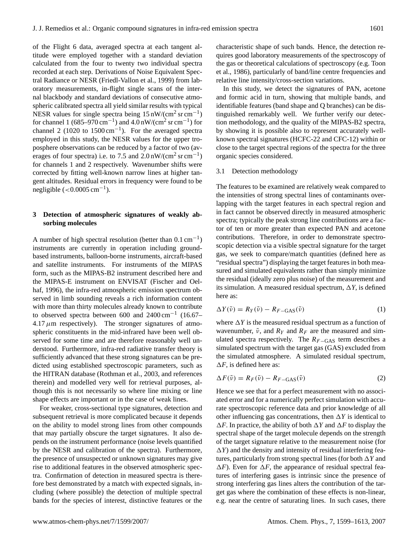of the Flight 6 data, averaged spectra at each tangent altitude were employed together with a standard deviation calculated from the four to twenty two individual spectra recorded at each step. Derivations of Noise Equivalent Spectral Radiance or NESR [\(Friedl-Vallon et al.,](#page-12-7) [1999\)](#page-12-7) from laboratory measurements, in-flight single scans of the internal blackbody and standard deviations of consecutive atmospheric calibrated spectra all yield similar results with typical NESR values for single spectra being  $15 \text{ nW/(cm}^2 \text{ sr cm}^{-1})$ for channel 1 (685–970 cm<sup>-1</sup>) and  $4.0 \text{ nW/(cm}^2 \text{ sr cm}^{-1})$  for channel 2 (1020 to  $1500 \text{ cm}^{-1}$ ). For the averaged spectra employed in this study, the NESR values for the upper troposphere observations can be reduced by a factor of two (averages of four spectra) i.e. to 7.5 and  $2.0 \text{ nW/(cm}^2 \text{ sr cm}^{-1})$ for channels 1 and 2 respectively. Wavenumber shifts were corrected by fitting well-known narrow lines at higher tangent altitudes. Residual errors in frequency were found to be negligible  $(<0.0005 \text{ cm}^{-1})$ .

# **3 Detection of atmospheric signatures of weakly absorbing molecules**

A number of high spectral resolution (better than  $0.1 \text{ cm}^{-1}$ ) instruments are currently in operation including groundbased instruments, balloon-borne instruments, aircraft-based and satellite instruments. For instruments of the MIPAS form, such as the MIPAS-B2 instrument described here and the MIPAS-E instrument on ENVISAT [\(Fischer and Oel](#page-12-6)[haf,](#page-12-6) [1996\)](#page-12-6), the infra-red atmospheric emission spectrum observed in limb sounding reveals a rich information content with more than thirty molecules already known to contribute to observed spectra between 600 and 2400 cm−<sup>1</sup> (16.67–  $4.17 \mu m$  respectively). The stronger signatures of atmospheric constituents in the mid-infrared have been well observed for some time and are therefore reasonably well understood. Furthermore, infra-red radiative transfer theory is sufficiently advanced that these strong signatures can be predicted using established spectroscopic parameters, such as the HITRAN database [\(Rothman et al.,](#page-13-13) [2003,](#page-13-13) and references therein) and modelled very well for retrieval purposes, although this is not necessarily so where line mixing or line shape effects are important or in the case of weak lines.

For weaker, cross-sectional type signatures, detection and subsequent retrieval is more complicated because it depends on the ability to model strong lines from other compounds that may partially obscure the target signatures. It also depends on the instrument performance (noise levels quantified by the NESR and calibration of the spectra). Furthermore, the presence of unsuspected or unknown signatures may give rise to additional features in the observed atmospheric spectra. Confirmation of detection in measured spectra is therefore best demonstrated by a match with expected signals, including (where possible) the detection of multiple spectral bands for the species of interest, distinctive features or the

characteristic shape of such bands. Hence, the detection requires good laboratory measurements of the spectroscopy of the gas or theoretical calculations of spectroscopy (e.g. [Toon](#page-14-5) [et al.,](#page-14-5) [1986\)](#page-14-5), particularly of band/line centre frequencies and relative line intensity/cross-section variations.

In this study, we detect the signatures of PAN, acetone and formic acid in turn, showing that multiple bands, and identifiable features (band shape and Q branches) can be distinguished remarkably well. We further verify our detection methodology, and the quality of the MIPAS-B2 spectra, by showing it is possible also to represent accurately wellknown spectral signatures (HCFC-22 and CFC-12) within or close to the target spectral regions of the spectra for the three organic species considered.

#### 3.1 Detection methodology

The features to be examined are relatively weak compared to the intensities of strong spectral lines of contaminants overlapping with the target features in each spectral region and in fact cannot be observed directly in measured atmospheric spectra; typically the peak strong line contributions are a factor of ten or more greater than expected PAN and acetone contributions. Therefore, in order to demonstrate spectroscopic detection via a visible spectral signature for the target gas, we seek to compare/match quantities (defined here as "residual spectra") displaying the target features in both measured and simulated equivalents rather than simply minimize the residual (ideally zero plus noise) of the measurement and its simulation. A measured residual spectrum,  $\Delta Y$ , is defined here as:

$$
\Delta Y(\tilde{\nu}) = R_Y(\tilde{\nu}) - R_{F-GAS}(\tilde{\nu})
$$
\n(1)

where  $\Delta Y$  is the measured residual spectrum as a function of wavenumber,  $\tilde{v}$ , and  $R<sub>Y</sub>$  and  $R<sub>F</sub>$  are the measured and simulated spectra respectively. The *R<sub>F−GAS</sub>* term describes a simulated spectrum with the target gas (GAS) excluded from the simulated atmosphere. A simulated residual spectrum,  $\Delta F$ , is defined here as:

$$
\Delta F(\tilde{\nu}) = R_F(\tilde{\nu}) - R_{F-GAS}(\tilde{\nu})
$$
\n(2)

Hence we see that for a perfect measurement with no associated error and for a numerically perfect simulation with accurate spectroscopic reference data and prior knowledge of all other influencing gas concentrations, then  $\Delta Y$  is identical to  $\Delta F$ . In practice, the ability of both  $\Delta Y$  and  $\Delta F$  to display the spectral shape of the target molecule depends on the strength of the target signature relative to the measurement noise (for  $\Delta Y$ ) and the density and intensity of residual interfering features, particularly from strong spectral lines (for both  $\Delta Y$  and  $\Delta F$ ). Even for  $\Delta F$ , the appearance of residual spectral features of interfering gases is intrinsic since the presence of strong interfering gas lines alters the contribution of the target gas where the combination of these effects is non-linear, e.g. near the centre of saturating lines. In such cases, there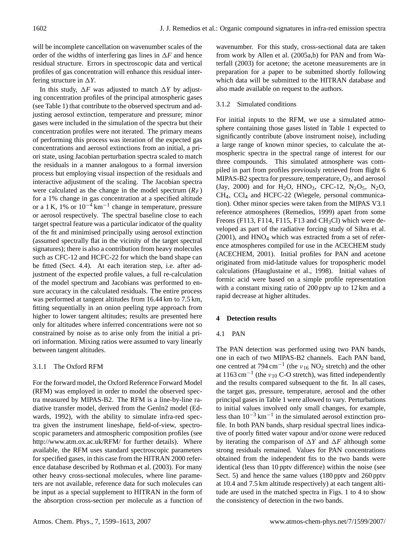will be incomplete cancellation on wavenumber scales of the order of the widths of interfering gas lines in  $\Delta F$  and hence residual structure. Errors in spectroscopic data and vertical profiles of gas concentration will enhance this residual interfering structure in  $\Delta Y$ .

In this study,  $\Delta F$  was adjusted to match  $\Delta Y$  by adjusting concentration profiles of the principal atmospheric gases (see Table [1\)](#page-4-0) that contribute to the observed spectrum and adjusting aerosol extinction, temperature and pressure; minor gases were included in the simulation of the spectra but their concentration profiles were not iterated. The primary means of performing this process was iteration of the expected gas concentrations and aerosol extinctions from an initial, a priori state, using Jacobian perturbation spectra scaled to match the residuals in a manner analogous to a formal inversion process but employing visual inspection of the residuals and interactive adjustment of the scaling. The Jacobian spectra were calculated as the change in the model spectrum  $(R_F)$ for a 1% change in gas concentration at a specified altitude or a 1 K, 1% or  $10^{-4}$  km<sup>-1</sup> change in temperature, pressure or aerosol respectively. The spectral baseline close to each target spectral feature was a particular indicator of the quality of the fit and minimised principally using aerosol extinction (assumed spectrally flat in the vicinity of the target spectral signatures); there is also a contribution from heavy molecules such as CFC-12 and HCFC-22 for which the band shape can be fitted (Sect. [4.4\)](#page-6-0). At each iteration step, i.e. after adjustment of the expected profile values, a full re-calculation of the model spectrum and Jacobians was performed to ensure accuracy in the calculated residuals. The entire process was performed at tangent altitudes from 16.44 km to 7.5 km, fitting sequentially in an onion peeling type approach from higher to lower tangent altitudes; results are presented here only for altitudes where inferred concentrations were not so constrained by noise as to arise only from the initial a priori information. Mixing ratios were assumed to vary linearly between tangent altitudes.

# 3.1.1 The Oxford RFM

For the forward model, the Oxford Reference Forward Model (RFM) was employed in order to model the observed spectra measured by MIPAS-B2. The RFM is a line-by-line radiative transfer model, derived from the Genln2 model (Edwards, 1992), with the ability to simulate infra-red spectra given the instrument lineshape, field-of-view, spectroscopic parameters and atmospheric composition profiles (see <http://www.atm.ox.ac.uk/RFM/> for further details). Where available, the RFM uses standard spectroscopic parameters for specified gases, in this case from the HITRAN 2000 reference database described by [Rothman et al.](#page-13-13) [\(2003\)](#page-13-13). For many other heavy cross-sectional molecules, where line parameters are not available, reference data for such molecules can be input as a special supplement to HITRAN in the form of the absorption cross-section per molecule as a function of wavenumber. For this study, cross-sectional data are taken from work by [Allen et al.](#page-12-4) [\(2005a,](#page-12-4)[b\)](#page-12-5) for PAN and from [Wa](#page-14-3)[terfall](#page-14-3) [\(2003\)](#page-14-3) for acetone; the acetone measurements are in preparation for a paper to be submitted shortly following which data will be submitted to the HITRAN database and also made available on request to the authors.

# 3.1.2 Simulated conditions

For initial inputs to the RFM, we use a simulated atmosphere containing those gases listed in Table [1](#page-4-0) expected to significantly contribute (above instrument noise), including a large range of known minor species, to calculate the atmospheric spectra in the spectral range of interest for our three compounds. This simulated atmosphere was compiled in part from profiles previously retrieved from flight 6 MIPAS-B2 spectra for pressure, temperature,  $O_3$ , and aerosol [\(Jay,](#page-13-14) [2000\)](#page-13-14) and for  $H_2O$ ,  $HNO_3$ , CFC-12,  $N_2O_5$ ,  $N_2O$ , CH4, CCl<sup>4</sup> and HCFC-22 (Wiegele, personal communication). Other minor species were taken from the MIPAS V3.1 reference atmospheres [\(Remedios,](#page-13-15) [1999\)](#page-13-15) apart from some Freons (F113, F114, F115, F13 and CH<sub>3</sub>Cl) which were developed as part of the radiative forcing study of [Sihra et al.](#page-14-6)  $(2001)$ , and HNO<sub>4</sub> which was extracted from a set of reference atmospheres compiled for use in the ACECHEM study [\(ACECHEM,](#page-12-8) [2001\)](#page-12-8). Initial profiles for PAN and acetone originated from mid-latitude values for tropospheric model calculations [\(Hauglustaine et al.,](#page-13-16) [1998\)](#page-13-16). Initial values of formic acid were based on a simple profile representation with a constant mixing ratio of 200 pptv up to 12 km and a rapid decrease at higher altitudes.

# <span id="page-3-1"></span>**4 Detection results**

# <span id="page-3-0"></span>4.1 PAN

The PAN detection was performed using two PAN bands, one in each of two MIPAS-B2 channels. Each PAN band, one centred at 794 cm<sup>-1</sup> (the  $v_{16}$  NO<sub>2</sub> stretch) and the other at  $1163 \text{ cm}^{-1}$  (the  $v_{10}$  C-O stretch), was fitted independently and the results compared subsequent to the fit. In all cases, the target gas, pressure, temperature, aerosol and the other principal gases in Table [1](#page-4-0) were allowed to vary. Perturbations to initial values involved only small changes, for example, less than 10−<sup>3</sup> km−<sup>1</sup> in the simulated aerosol extinction profile. In both PAN bands, sharp residual spectral lines indicative of poorly fitted water vapour and/or ozone were reduced by iterating the comparison of  $\Delta Y$  and  $\Delta F$  although some strong residuals remained. Values for PAN concentrations obtained from the independent fits to the two bands were identical (less than 10 pptv difference) within the noise (see Sect. [5\)](#page-8-0) and hence the same values (180 pptv and 260 pptv at 10.4 and 7.5 km altitude respectively) at each tangent altitude are used in the matched spectra in Figs. [1](#page-5-0) to [4](#page-5-1) to show the consistency of detection in the two bands.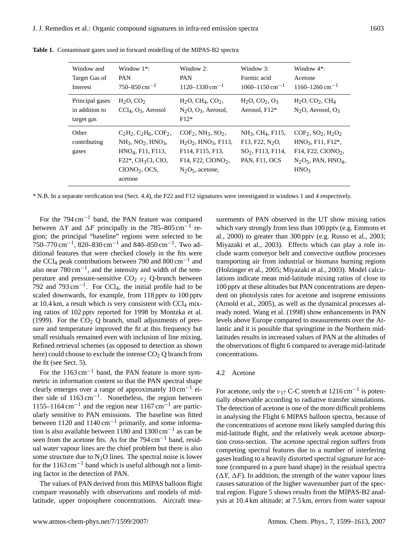<span id="page-4-0"></span>

| Window and<br>Target Gas of<br>Interest         | Window $1^*$ :<br><b>PAN</b><br>$750 - 850$ cm <sup>-1</sup>                                                                                                        | Window 2:<br><b>PAN</b><br>$1120 - 1330$ cm <sup>-1</sup>                                                                                                | Window $3$ :<br>Formic acid<br>$1060 - 1150$ cm <sup>-1</sup>                                                  | Window $4^*$ :<br>Acetone<br>$1160 - 1260$ cm <sup>-1</sup>                                                             |
|-------------------------------------------------|---------------------------------------------------------------------------------------------------------------------------------------------------------------------|----------------------------------------------------------------------------------------------------------------------------------------------------------|----------------------------------------------------------------------------------------------------------------|-------------------------------------------------------------------------------------------------------------------------|
| Principal gases<br>in addition to<br>target gas | $H2O$ , CO <sub>2</sub><br>$CCl4, O3$ , Aerosol                                                                                                                     | $H2O$ , CH <sub>4</sub> , CO <sub>2</sub> ,<br>$N2O$ , $O3$ , Aerosol,<br>$F12*$                                                                         | $H_2O, CO_2, O_3$<br>Aerosol, F12*                                                                             | $H_2O$ , $CO_2$ , $CH_4$<br>$N2O$ , Aerosol, $O3$                                                                       |
| Other<br>contributing<br>gases                  | $C_2H_2, C_2H_6, COF_2,$<br>$NH3$ , NO <sub>2</sub> , HNO <sub>3</sub> ,<br>$HNO4$ , F11, F113,<br>$F22^*$ , CH <sub>3</sub> Cl, ClO,<br>$CIONO2$ , OCS,<br>acetone | $COF2$ , NH <sub>3</sub> , SO <sub>2</sub> ,<br>$H_2O_2$ , $HNO_3$ , $F113$ ,<br>F114, F115, F13,<br>F14, F22, ClONO <sub>2</sub> ,<br>$N2O5$ , acetone, | $NH_3$ , CH <sub>4</sub> , F115,<br>F13, F22, N <sub>2</sub> O,<br>$SO2$ , F113, F114,<br><b>PAN, F11, OCS</b> | $COF2, SO2, H2O2$<br>$HNO3, F11, F12*,$<br>$F14, F22, ClONO2$ ,<br>$N2O5$ , PAN, HNO <sub>4</sub> ,<br>HNO <sub>3</sub> |

**Table 1.** Contaminant gases used in forward modelling of the MIPAS-B2 spectra

\* N.B. In a separate verification test (Sect. [4.4\)](#page-6-0), the F22 and F12 signatures were investigated in windows 1 and 4 respectively.

For the 794 cm−<sup>1</sup> band, the PAN feature was compared between  $\Delta Y$  and  $\Delta F$  principally in the 785–805 cm<sup>-1</sup> region; the principal "baseline" regions were selected to be 750–770 cm−<sup>1</sup> , 820–830 cm−<sup>1</sup> and 840–850 cm−<sup>1</sup> . Two additional features that were checked closely in the fits were the CCl<sub>4</sub> peak contributions between 790 and  $800 \text{ cm}^{-1}$  and also near  $780 \text{ cm}^{-1}$ , and the intensity and width of the temperature and pressure-sensitive  $CO<sub>2</sub>$   $v<sub>2</sub>$  Q-branch between 792 and 793 cm<sup>-1</sup>. For CCl<sub>4</sub>, the initial profile had to be scaled downwards, for example, from 118 pptv to 100 pptv at  $10.4 \text{ km}$ , a result which is very consistent with  $\text{CCl}_4$  mixing ratios of 102 pptv reported for 1998 by [Montzka et al.](#page-13-17) [\(1999\)](#page-13-17). For the  $CO<sub>2</sub>$  Q branch, small adjustments of pressure and temperature improved the fit at this frequency but small residuals remained even with inclusion of line mixing. Refined retrieval schemes (as opposed to detection as shown here) could choose to exclude the intense  $CO<sub>2</sub>$  Q branch from the fit (see Sect. [5\)](#page-8-0).

For the  $1163 \text{ cm}^{-1}$  band, the PAN feature is more symmetric in information content so that the PAN spectral shape clearly emerges over a range of approximately 10 cm−<sup>1</sup> either side of 1163 cm−<sup>1</sup> . Nonetheless, the region between 1155–1164 cm<sup>-1</sup> and the region near 1167 cm<sup>-1</sup> are particularly sensitive to PAN emissions. The baseline was fitted between 1120 and 1140 cm−<sup>1</sup> primarily, and some information is also available between 1180 and 1300 cm−<sup>1</sup> as can be seen from the acetone fits. As for the 794 cm<sup>-1</sup> band, residual water vapour lines are the chief problem but there is also some structure due to  $N_2O$  lines. The spectral noise is lower for the 1163 cm−<sup>1</sup> band which is useful although not a limiting factor in the detection of PAN.

The values of PAN derived from this MIPAS balloon flight compare reasonably with observations and models of midlatitude, upper troposphere concentrations. Aircraft measurements of PAN observed in the UT show mixing ratios which vary strongly from less than 100 pptv (e.g. [Emmons et](#page-12-9) [al.,](#page-12-9) [2000\)](#page-12-9) to greater than 300 pptv (e.g. [Russo et al.,](#page-13-1) [2003;](#page-13-1) [Miyazaki et al.,](#page-13-18) [2003\)](#page-13-18). Effects which can play a role include warm conveyor belt and convective outflow processes transporting air from industrial or biomass burning regions [\(Holzinger et al.,](#page-13-11) [2005;](#page-13-11) [Miyazaki et al.,](#page-13-18) [2003\)](#page-13-18). Model calculations indicate mean mid-latitude mixing ratios of close to 100 pptv at these altitudes but PAN concentrations are dependent on photolysis rates for acetone and isoprene emissions [\(Arnold et al.,](#page-12-10) [2005\)](#page-12-10), as well as the dynamical processes already noted. [Wang et al.](#page-14-7) [\(1998\)](#page-14-7) show enhancements in PAN levels above Europe compared to measurements over the Atlantic and it is possible that springtime in the Northern midlatitudes results in increased values of PAN at the altitudes of the observations of flight 6 compared to average mid-latitude concentrations.

#### 4.2 Acetone

For acetone, only the  $v_{17}$  C-C stretch at 1216 cm<sup>-1</sup> is potentially observable according to radiative transfer simulations. The detection of acetone is one of the more difficult problems in analysing the Flight 6 MIPAS balloon spectra, because of the concentrations of acetone most likely sampled during this mid-latitude flight, and the relatively weak acetone absorption cross-section. The acetone spectral region suffers from competing spectral features due to a number of interfering gases leading to a heavily distorted spectral signature for acetone (compared to a pure band shape) in the residual spectra  $(\Delta Y, \Delta F)$ . In addition, the strength of the water vapour lines causes saturation of the higher wavenumber part of the spectral region. Figure [5](#page-6-1) shows results from the MIPAS-B2 analysis at 10.4 km altitude; at 7.5 km, errors from water vapour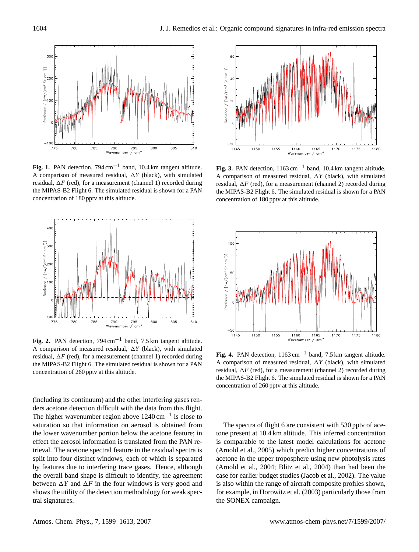

<span id="page-5-0"></span>**Fig. 1.** PAN detection, 794 cm−<sup>1</sup> band, 10.4 km tangent altitude. A comparison of measured residual,  $\Delta Y$  (black), with simulated residual,  $\Delta F$  (red), for a measurement (channel 1) recorded during the MIPAS-B2 Flight 6. The simulated residual is shown for a PAN concentration of 180 pptv at this altitude.



**Fig. 2.** PAN detection, 794 cm−<sup>1</sup> band, 7.5 km tangent altitude. A comparison of measured residual,  $\Delta Y$  (black), with simulated residual,  $\Delta F$  (red), for a measurement (channel 1) recorded during the MIPAS-B2 Flight 6. The simulated residual is shown for a PAN concentration of 260 pptv at this altitude.

(including its continuum) and the other interfering gases renders acetone detection difficult with the data from this flight. The higher wavenumber region above  $1240 \text{ cm}^{-1}$  is close to saturation so that information on aerosol is obtained from the lower wavenumber portion below the acetone feature; in effect the aerosol information is translated from the PAN retrieval. The acetone spectral feature in the residual spectra is split into four distinct windows, each of which is separated by features due to interfering trace gases. Hence, although the overall band shape is difficult to identify, the agreement between  $\Delta Y$  and  $\Delta F$  in the four windows is very good and shows the utility of the detection methodology for weak spectral signatures.



**Fig. 3.** PAN detection,  $1163 \text{ cm}^{-1}$  band,  $10.4 \text{ km}$  tangent altitude. A comparison of measured residual,  $\Delta Y$  (black), with simulated residual,  $\Delta F$  (red), for a measurement (channel 2) recorded during the MIPAS-B2 Flight 6. The simulated residual is shown for a PAN concentration of 180 pptv at this altitude.



<span id="page-5-1"></span>**Fig. 4.** PAN detection,  $1163 \text{ cm}^{-1}$  band, 7.5 km tangent altitude. A comparison of measured residual,  $\Delta Y$  (black), with simulated residual,  $\Delta F$  (red), for a measurement (channel 2) recorded during the MIPAS-B2 Flight 6. The simulated residual is shown for a PAN concentration of 260 pptv at this altitude.

The spectra of flight 6 are consistent with 530 pptv of acetone present at 10.4 km altitude. This inferred concentration is comparable to the latest model calculations for acetone [\(Arnold et al.,](#page-12-10) [2005\)](#page-12-10) which predict higher concentrations of acetone in the upper troposphere using new photolysis rates [\(Arnold et al.,](#page-12-11) [2004;](#page-12-11) [Blitz et al.,](#page-12-12) [2004\)](#page-12-12) than had been the case for earlier budget studies [\(Jacob et al.,](#page-13-19) [2002\)](#page-13-19). The value is also within the range of aircraft composite profiles shown, for example, in [Horowitz et al.](#page-13-20) [\(2003\)](#page-13-20) particularly those from the SONEX campaign.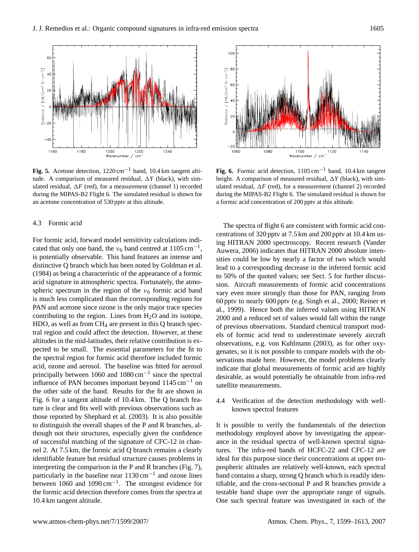

<span id="page-6-1"></span>**Fig. 5.** Acetone detection,  $1220 \text{ cm}^{-1}$  band,  $10.4 \text{ km}$  tangent altitude. A comparison of measured residual,  $\Delta Y$  (black), with simulated residual,  $\Delta F$  (red), for a measurement (channel 1) recorded during the MIPAS-B2 Flight 6. The simulated residual is shown for an acetone concentration of 530 pptv at this altitude.

#### <span id="page-6-3"></span>4.3 Formic acid

For formic acid, forward model sensitivity calculations indicated that only one band, the  $v_6$  band centred at 1105 cm<sup>-1</sup>, is potentially observable. This band features an intense and distinctive Q branch which has been noted by [Goldman et al.](#page-13-5) [\(1984\)](#page-13-5) as being a characteristic of the appearance of a formic acid signature in atmospheric spectra. Fortunately, the atmospheric spectrum in the region of the  $v_6$  formic acid band is much less complicated than the corresponding regions for PAN and acetone since ozone is the only major trace species contributing to the region. Lines from  $H_2O$  and its isotope, HDO, as well as from  $CH_4$  are present in this Q branch spectral region and could affect the detection. However, at these altitudes in the mid-latitudes, their relative contribution is expected to be small. The essential parameters for the fit to the spectral region for formic acid therefore included formic acid, ozone and aerosol. The baseline was fitted for aerosol principally between 1060 and  $1080 \text{ cm}^{-1}$  since the spectral influence of PAN becomes important beyond 1145 cm−<sup>1</sup> on the other side of the band. Results for the fit are shown in Fig. [6](#page-6-2) for a tangent altitude of 10.4 km. The Q branch feature is clear and fits well with previous observations such as those reported by [Shephard et al.](#page-13-6) [\(2003\)](#page-13-6). It is also possible to distinguish the overall shapes of the P and R branches, although not their structures, especially given the confidence of successful matching of the signature of CFC-12 in channel 2. At 7.5 km, the formic acid Q branch remains a clearly identifiable feature but residual structure causes problems in interpreting the comparison in the P and R branches (Fig. [7\)](#page-7-0), particularly in the baseline near 1130 cm<sup>-1</sup> and ozone lines between 1060 and 1090 cm−<sup>1</sup> . The strongest evidence for the formic acid detection therefore comes from the spectra at 10.4 km tangent altitude.



<span id="page-6-2"></span>**Fig. 6.** Formic acid detection,  $1105 \text{ cm}^{-1}$  band,  $10.4 \text{ km}$  tangent height. A comparison of measured residual,  $\Delta Y$  (black), with simulated residual,  $\Delta F$  (red), for a measurement (channel 2) recorded during the MIPAS-B2 Flight 6. The simulated residual is shown for a formic acid concentration of 200 pptv at this altitude.

The spectra of flight 6 are consistent with formic acid concentrations of 320 pptv at 7.5 km and 200 pptv at 10.4 km using HITRAN 2000 spectroscopy. Recent research [\(Vander](#page-14-8) [Auwera,](#page-14-8) [2006\)](#page-14-8) indicates that HITRAN 2000 absolute intensities could be low by nearly a factor of two which would lead to a corresponding decrease in the inferred formic acid to 50% of the quoted values; see Sect. [5](#page-8-0) for further discussion. Aircraft measurements of formic acid concentrations vary even more strongly than those for PAN, ranging from 60 pptv to nearly 600 pptv (e.g. [Singh et al.,](#page-14-9) [2000;](#page-14-9) [Reiner et](#page-13-4) [al.,](#page-13-4) [1999\)](#page-13-4). Hence both the inferred values using HITRAN 2000 and a reduced set of values would fall within the range of previous observations. Standard chemical transport models of formic acid tend to underestimate severely aircraft observations, e.g. [von Kuhlmann](#page-14-10) [\(2003\)](#page-14-10), as for other oxygenates, so it is not possible to compare models with the observations made here. However, the model problems clearly indicate that global measurements of formic acid are highly desirable, as would potentially be obtainable from infra-red satellite measurements.

<span id="page-6-0"></span>4.4 Verification of the detection methodology with wellknown spectral features

It is possible to verify the fundamentals of the detection methodology employed above by investigating the appearance in the residual spectra of well-known spectral signatures. The infra-red bands of HCFC-22 and CFC-12 are ideal for this purpose since their concentrations at upper tropospheric altitudes are relatively well-known, each spectral band contains a sharp, strong Q branch which is readily identifiable, and the cross-sectional P and R branches provide a testable band shape over the appropriate range of signals. One such spectral feature was investigated in each of the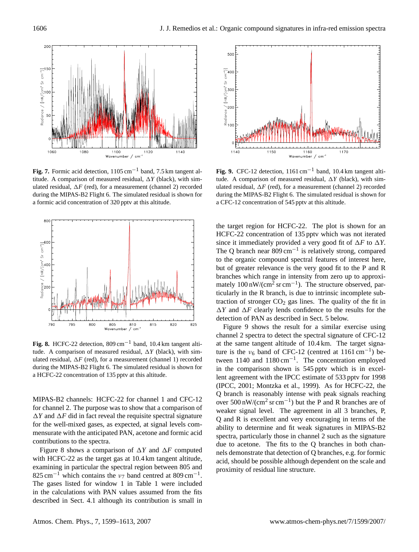

<span id="page-7-0"></span>**Fig. 7.** Formic acid detection,  $1105 \text{ cm}^{-1}$  band, 7.5 km tangent altitude. A comparison of measured residual,  $\Delta Y$  (black), with simulated residual,  $\Delta F$  (red), for a measurement (channel 2) recorded during the MIPAS-B2 Flight 6. The simulated residual is shown for a formic acid concentration of 320 pptv at this altitude.



<span id="page-7-1"></span>**Fig. 8.** HCFC-22 detection,  $809 \text{ cm}^{-1}$  band,  $10.4 \text{ km}$  tangent altitude. A comparison of measured residual,  $\Delta Y$  (black), with simulated residual,  $\Delta F$  (red), for a measurement (channel 1) recorded during the MIPAS-B2 Flight 6. The simulated residual is shown for a HCFC-22 concentration of 135 pptv at this altitude.

MIPAS-B2 channels: HCFC-22 for channel 1 and CFC-12 for channel 2. The purpose was to show that a comparison of  $\Delta Y$  and  $\Delta F$  did in fact reveal the requisite spectral signature for the well-mixed gases, as expected, at signal levels commensurate with the anticipated PAN, acetone and formic acid contributions to the spectra.

Figure [8](#page-7-1) shows a comparison of  $\Delta Y$  and  $\Delta F$  computed with HCFC-22 as the target gas at 10.4 km tangent altitude, examining in particular the spectral region between 805 and  $825 \text{ cm}^{-1}$  which contains the  $v_7$  band centred at  $809 \text{ cm}^{-1}$ . The gases listed for window 1 in Table [1](#page-4-0) were included in the calculations with PAN values assumed from the fits described in Sect. [4.1](#page-3-0) although its contribution is small in



<span id="page-7-2"></span>**Fig. 9.** CFC-12 detection,  $1161 \text{ cm}^{-1}$  band,  $10.4 \text{ km}$  tangent altitude. A comparison of measured residual,  $\Delta Y$  (black), with simulated residual,  $\Delta F$  (red), for a measurement (channel 2) recorded during the MIPAS-B2 Flight 6. The simulated residual is shown for a CFC-12 concentration of 545 pptv at this altitude.

the target region for HCFC-22. The plot is shown for an HCFC-22 concentration of 135 pptv which was not iterated since it immediately provided a very good fit of  $\Delta F$  to  $\Delta Y$ . The Q branch near  $809 \text{ cm}^{-1}$  is relatively strong, compared to the organic compound spectral features of interest here, but of greater relevance is the very good fit to the P and R branches which range in intensity from zero up to approximately  $100 \text{ nW/(cm}^2 \text{ sr cm}^{-1})$ . The structure observed, particularly in the R branch, is due to intrinsic incomplete subtraction of stronger  $CO<sub>2</sub>$  gas lines. The quality of the fit in  $\Delta Y$  and  $\Delta F$  clearly lends confidence to the results for the detection of PAN as described in Sect. [5](#page-8-0) below.

Figure [9](#page-7-2) shows the result for a similar exercise using channel 2 spectra to detect the spectral signature of CFC-12 at the same tangent altitude of 10.4 km. The target signature is the  $v_6$  band of CFC-12 (centred at 1161 cm<sup>-1</sup>) between  $1140$  and  $1180 \text{ cm}^{-1}$ . The concentration employed in the comparison shown is 545 pptv which is in excellent agreement with the IPCC estimate of 533 pptv for 1998 [\(IPCC,](#page-13-21) [2001;](#page-13-21) [Montzka et al.,](#page-13-17) [1999\)](#page-13-17). As for HCFC-22, the Q branch is reasonably intense with peak signals reaching over 500 nW/(cm<sup>2</sup> sr cm−<sup>1</sup> ) but the P and R branches are of weaker signal level. The agreement in all 3 branches, P, Q and R is excellent and very encouraging in terms of the ability to determine and fit weak signatures in MIPAS-B2 spectra, particularly those in channel 2 such as the signature due to acetone. The fits to the Q branches in both channels demonstrate that detection of Q branches, e.g. for formic acid, should be possible although dependent on the scale and proximity of residual line structure.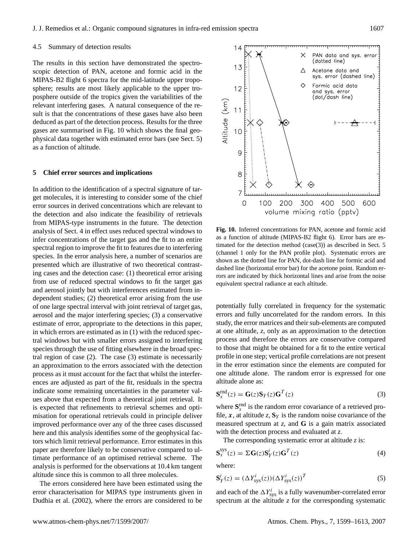#### 4.5 Summary of detection results

The results in this section have demonstrated the spectroscopic detection of PAN, acetone and formic acid in the MIPAS-B2 flight 6 spectra for the mid-latitude upper troposphere; results are most likely applicable to the upper troposphere outside of the tropics given the variabilities of the relevant interfering gases. A natural consequence of the result is that the concentrations of these gases have also been deduced as part of the detection process. Results for the three gases are summarised in Fig. [10](#page-8-1) which shows the final geophysical data together with estimated error bars (see Sect. [5\)](#page-8-0) as a function of altitude.

#### <span id="page-8-0"></span>**5 Chief error sources and implications**

In addition to the identification of a spectral signature of target molecules, it is interesting to consider some of the chief error sources in derived concentrations which are relevant to the detection and also indicate the feasibility of retrievals from MIPAS-type instruments in the future. The detection analysis of Sect. [4](#page-3-1) in effect uses reduced spectral windows to infer concentrations of the target gas and the fit to an entire spectral region to improve the fit to features due to interfering species. In the error analysis here, a number of scenarios are presented which are illustrative of two theoretical contrasting cases and the detection case: (1) theoretical error arising from use of reduced spectral windows to fit the target gas and aerosol jointly but with interferences estimated from independent studies; (2) theoretical error arising from the use of one large spectral interval with joint retrieval of target gas, aerosol and the major interfering species; (3) a conservative estimate of error, appropriate to the detections in this paper, in which errors are estimated as in (1) with the reduced spectral windows but with smaller errors assigned to interfering species through the use of fitting elsewhere in the broad spectral region of case (2). The case (3) estimate is necessarily an approximation to the errors associated with the detection process as it must account for the fact that whilst the interferences are adjusted as part of the fit, residuals in the spectra indicate some remaining uncertainties in the parameter values above that expected from a theoretical joint retrieval. It is expected that refinements to retrieval schemes and optimisation for operational retrievals could in principle deliver improved performance over any of the three cases discussed here and this analysis identifies some of the geophysical factors which limit retrieval performance. Error estimates in this paper are therefore likely to be conservative compared to ultimate performance of an optimised retrieval scheme. The analysis is performed for the observations at 10.4 km tangent altitude since this is common to all three molecules.

The errors considered here have been estimated using the error characterisation for MIPAS type instruments given in [Dudhia et al.](#page-12-13) [\(2002\)](#page-12-13), where the errors are considered to be



<span id="page-8-1"></span>**Fig. 10.** Inferred concentrations for PAN, acetone and formic acid as a function of altitude (MIPAS-B2 flight 6). Error bars are estimated for the detection method (case(3)) as described in Sect. [5](#page-8-0) (channel 1 only for the PAN profile plot). Systematic errors are shown as the dotted line for PAN, dot-dash line for formic acid and dashed line (horizontal error bar) for the acetone point. Random errors are indicated by thick horizontal lines and arise from the noise equivalent spectral radiance at each altitude.

potentially fully correlated in frequency for the systematic errors and fully uncorrelated for the random errors. In this study, the error matrices and their sub-elements are computed at one altitude, *z*, only as an approximation to the detection process and therefore the errors are conservative compared to those that might be obtained for a fit to the entire vertical profile in one step; vertical profile correlations are not present in the error estimation since the elements are computed for one altitude alone. The random error is expressed for one altitude alone as:

$$
\mathbf{S}_{x}^{\text{rnd}}(z) = \mathbf{G}(z)\mathbf{S}_{Y}(z)\mathbf{G}^{T}(z)
$$
\n(3)

where  $S_x^{\text{rnd}}$  is the random error covariance of a retrieved profile, x, at altitude  $z$ ,  $S_Y$  is the random noise covariance of the measured spectrum at *z*, and **G** is a gain matrix associated with the detection process and evaluated at *z*.

The corresponding systematic error at altitude *z* is:

$$
\mathbf{S}_x^{\text{sys}}(z) = \Sigma \mathbf{G}(z) \mathbf{S}_Y^i(z) \mathbf{G}^T(z)
$$
(4)

where:

$$
\mathbf{S}_{Y}^{i}(z) = (\Delta Y_{\text{sys}}^{i}(z))(\Delta Y_{\text{sys}}^{i}(z))^{T}
$$
\n(5)

and each of the  $\Delta Y_{\text{sys}}^i$  is a fully wavenumber-correlated error spectrum at the altitude *z* for the corresponding systematic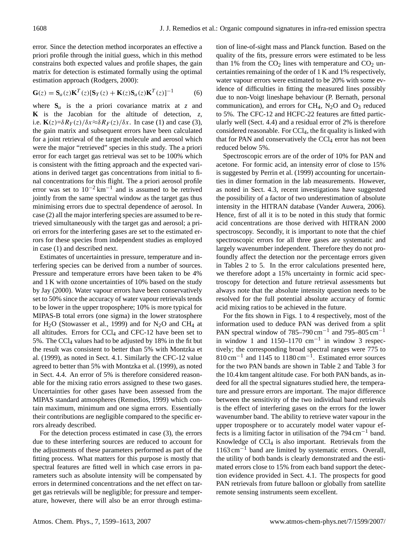error. Since the detection method incorporates an effective a priori profile through the initial guess, which in this method constrains both expected values and profile shapes, the gain matrix for detection is estimated formally using the optimal estimation approach [\(Rodgers,](#page-13-22) [2000\)](#page-13-22):

$$
\mathbf{G}(z) = \mathbf{S}_a(z)\mathbf{K}^T(z)[\mathbf{S}_Y(z) + \mathbf{K}(z)\mathbf{S}_a(z)\mathbf{K}^T(z)]^{-1}
$$
 (6)

where  $S_a$  is the a priori covariance matrix at  $z$  and **K** is the Jacobian for the altitude of detection, *z*, i.e.  $\mathbf{K}(z) = \delta R_Y(z)/\delta x \approx \delta R_Y(z)/\delta x$ . In case (1) and case (3), the gain matrix and subsequent errors have been calculated for a joint retrieval of the target molecule and aerosol which were the major "retrieved" species in this study. The a priori error for each target gas retrieval was set to be 100% which is consistent with the fitting approach and the expected variations in derived target gas concentrations from initial to final concentrations for this flight. The a priori aerosol profile error was set to  $10^{-2}$  km<sup>-1</sup> and is assumed to be retrived jointly from the same spectral window as the target gas thus minimising errors due to spectral dependence of aerosol. In case (2) all the major interfering species are assumed to be retrieved simultaneously with the target gas and aerosol; a priori errors for the interfering gases are set to the estimated errors for these species from independent studies as employed in case (1) and described next.

Estimates of uncertainties in pressure, temperature and interfering species can be derived from a number of sources. Pressure and temperature errors have been taken to be 4% and 1 K with ozone uncertainties of 10% based on the study by [Jay](#page-13-14) [\(2000\)](#page-13-14). Water vapour errors have been conservatively set to 50% since the accuracy of water vapour retrievals tends to be lower in the upper troposphere; 10% is more typical for MIPAS-B total errors (one sigma) in the lower stratosphere for  $H_2O$  [\(Stowasser et al.,](#page-14-11) [1999\)](#page-14-11) and for  $N_2O$  and CH<sub>4</sub> at all altitudes. Errors for  $CCl<sub>4</sub>$  and  $CFC-12$  have been set to 5%. The CC $l_4$  values had to be adjusted by 18% in the fit but the result was consistent to better than 5% with [Montzka et](#page-13-17) [al.](#page-13-17) [\(1999\)](#page-13-17), as noted in Sect. [4.1.](#page-3-0) Similarly the CFC-12 value agreed to better than 5% with [Montzka et al.](#page-13-17) [\(1999\)](#page-13-17), as noted in Sect. [4.4.](#page-6-0) An error of 5% is therefore considered reasonable for the mixing ratio errors assigned to these two gases. Uncertainties for other gases have been assessed from the MIPAS standard atmospheres [\(Remedios,](#page-13-15) [1999\)](#page-13-15) which contain maximum, minimum and one sigma errors. Essentially their contributions are negligible compared to the specific errors already described.

For the detection process estimated in case (3), the errors due to these interfering sources are reduced to account for the adjustments of these parameters performed as part of the fitting process. What matters for this purpose is mostly that spectral features are fitted well in which case errors in parameters such as absolute intensity will be compensated by errors in determined concentrations and the net effect on target gas retrievals will be negligible; for pressure and temperature, however, there will also be an error through estimation of line-of-sight mass and Planck function. Based on the quality of the fits, pressure errors were estimated to be less than 1% from the  $CO<sub>2</sub>$  lines with temperature and  $CO<sub>2</sub>$  uncertainties remaining of the order of 1 K and 1% respectively, water vapour errors were estimated to be 20% with some evidence of difficulties in fitting the measured lines possibly due to non-Voigt lineshape behaviour (P. Bernath, personal communication), and errors for  $CH_4$ , N<sub>2</sub>O and O<sub>3</sub> reduced to 5%. The CFC-12 and HCFC-22 features are fitted particularly well (Sect. [4.4\)](#page-6-0) and a residual error of 2% is therefore considered reasonable. For  $CCI<sub>4</sub>$ , the fit quality is linked with that for PAN and conservatively the  $\text{CCl}_4$  error has not been reduced below 5%.

Spectroscopic errors are of the order of 10% for PAN and acetone. For formic acid, an intensity error of close to 15% is suggested by [Perrin et al.](#page-13-23) [\(1999\)](#page-13-23) accounting for uncertainties in dimer formation in the lab measurements. However, as noted in Sect. [4.3,](#page-6-3) recent investigations have suggested the possibility of a factor of two underestimation of absolute intensity in the HITRAN database [\(Vander Auwera,](#page-14-8) [2006\)](#page-14-8). Hence, first of all it is to be noted in this study that formic acid concentrations are those derived with HITRAN 2000 spectroscopy. Secondly, it is important to note that the chief spectroscopic errors for all three gases are systematic and largely wavenumber independent. Therefore they do not profoundly affect the detection nor the percentage errors given in Tables [2](#page-10-0) to [5.](#page-11-0) In the error calculations presented here, we therefore adopt a 15% uncertainty in formic acid spectroscopy for detection and future retrieval assessments but always note that the absolute intensity question needs to be resolved for the full potential absolute accuracy of formic acid mixing ratios to be achieved in the future.

For the fits shown in Figs. [1](#page-5-0) to [4](#page-5-1) respectively, most of the information used to deduce PAN was derived from a split PAN spectral window of  $785-790$  cm<sup>-1</sup> and  $795-805$  cm<sup>-1</sup> in window 1 and 1150–1170  $cm^{-1}$  in window 3 respectively; the corresponding broad spectral ranges were 775 to  $810 \text{ cm}^{-1}$  and 1145 to 1180 cm<sup>-1</sup>. Estimated error sources for the two PAN bands are shown in Table [2](#page-10-0) and Table [3](#page-10-1) for the 10.4 km tangent altitude case. For both PAN bands, as indeed for all the spectral signatures studied here, the temperature and pressure errors are important. The major difference between the sensitivity of the two individual band retrievals is the effect of interfering gases on the errors for the lower wavenumber band. The ability to retrieve water vapour in the upper troposphere or to accurately model water vapour effects is a limiting factor in utilisation of the 794 cm−<sup>1</sup> band. Knowledge of  $CCl<sub>4</sub>$  is also important. Retrievals from the 1163 cm−<sup>1</sup> band are limited by systematic errors. Overall, the utility of both bands is clearly demonstrated and the estimated errors close to 15% from each band support the detection evidence provided in Sect. [4.1.](#page-3-0) The prospects for good PAN retrievals from future balloon or globally from satellite remote sensing instruments seem excellent.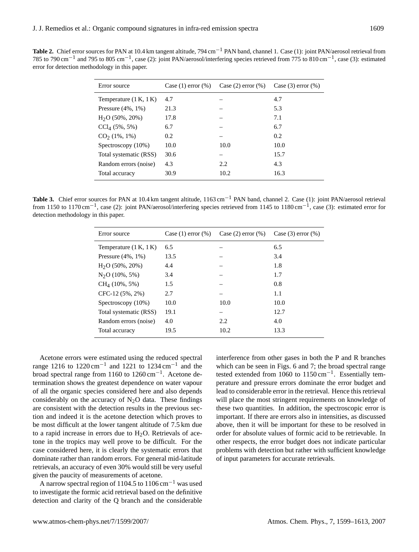<span id="page-10-0"></span>**Table 2.** Chief error sources for PAN at 10.4 km tangent altitude, 794 cm−<sup>1</sup> PAN band, channel 1. Case (1): joint PAN/aerosol retrieval from 785 to 790 cm<sup>-1</sup> and 795 to 805 cm<sup>-1</sup>, case (2): joint PAN/aerosol/interfering species retrieved from 775 to 810 cm<sup>-1</sup>, case (3): estimated error for detection methodology in this paper.

| Error source             | Case $(1)$ error $(\%)$ | Case $(2)$ error $(\%)$ | Case $(3)$ error $(\%)$ |
|--------------------------|-------------------------|-------------------------|-------------------------|
| Temperature $(1 K, 1 K)$ | 4.7                     |                         | 4.7                     |
| Pressure $(4\%, 1\%)$    | 21.3                    |                         | 5.3                     |
| $H2O$ (50%, 20%)         | 17.8                    |                         | 7.1                     |
| $CCl4$ (5%, 5%)          | 6.7                     |                         | 6.7                     |
| CO <sub>2</sub> (1%, 1%) | 0.2                     |                         | 0.2                     |
| Spectroscopy (10%)       | 10.0                    | 10.0                    | 10.0                    |
| Total systematic (RSS)   | 30.6                    |                         | 15.7                    |
| Random errors (noise)    | 4.3                     | 2.2.                    | 4.3                     |
| Total accuracy           | 30.9                    | 10.2                    | 16.3                    |

<span id="page-10-1"></span>**Table 3.** Chief error sources for PAN at 10.4 km tangent altitude, 1163 cm−<sup>1</sup> PAN band, channel 2. Case (1): joint PAN/aerosol retrieval from 1150 to 1170 cm<sup>-1</sup>, case (2): joint PAN/aerosol/interfering species retrieved from 1145 to 1180 cm<sup>-1</sup>, case (3): estimated error for detection methodology in this paper.

| Error source             | Case $(1)$ error $(\%)$ | Case $(2)$ error $(\%)$ | Case $(3)$ error $(\%)$ |
|--------------------------|-------------------------|-------------------------|-------------------------|
| Temperature $(1 K, 1 K)$ | 6.5                     |                         | 6.5                     |
| Pressure $(4\%, 1\%)$    | 13.5                    |                         | 3.4                     |
| $H2O$ (50%, 20%)         | 4.4                     |                         | 1.8                     |
| $N2O(10\%, 5\%)$         | 3.4                     |                         | 1.7                     |
| $CH4$ (10%, 5%)          | 1.5                     |                         | 0.8                     |
| $CFC-12(5\%, 2\%)$       | 2.7                     |                         | 1.1                     |
| Spectroscopy (10%)       | 10.0                    | 10.0                    | 10.0                    |
| Total systematic (RSS)   | 19.1                    |                         | 12.7                    |
| Random errors (noise)    | 4.0                     | 2.2                     | 4.0                     |
| Total accuracy           | 19.5                    | 10.2                    | 13.3                    |

Acetone errors were estimated using the reduced spectral range 1216 to 1220 cm<sup>-1</sup> and 1221 to 1234 cm<sup>-1</sup> and the broad spectral range from 1160 to 1260 cm−<sup>1</sup> . Acetone determination shows the greatest dependence on water vapour of all the organic species considered here and also depends considerably on the accuracy of  $N_2O$  data. These findings are consistent with the detection results in the previous section and indeed it is the acetone detection which proves to be most difficult at the lower tangent altitude of 7.5 km due to a rapid increase in errors due to  $H<sub>2</sub>O$ . Retrievals of acetone in the tropics may well prove to be difficult. For the case considered here, it is clearly the systematic errors that dominate rather than random errors. For general mid-latitude retrievals, an accuracy of even 30% would still be very useful given the paucity of measurements of acetone.

A narrow spectral region of 1104.5 to 1106 cm−<sup>1</sup> was used to investigate the formic acid retrieval based on the definitive detection and clarity of the Q branch and the considerable interference from other gases in both the P and R branches which can be seen in Figs. [6](#page-6-2) and [7;](#page-7-0) the broad spectral range tested extended from 1060 to 1150 cm−<sup>1</sup> . Essentially temperature and pressure errors dominate the error budget and lead to considerable error in the retrieval. Hence this retrieval will place the most stringent requirements on knowledge of these two quantities. In addition, the spectroscopic error is important. If there are errors also in intensities, as discussed above, then it will be important for these to be resolved in order for absolute values of formic acid to be retrievable. In other respects, the error budget does not indicate particular problems with detection but rather with sufficient knowledge of input parameters for accurate retrievals.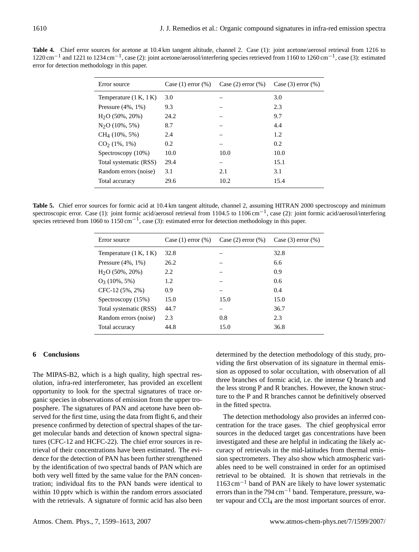| Case $(1)$ error $(\%)$<br>Case $(2)$ error $(\%)$ | Case $(3)$ error $(\%)$ |
|----------------------------------------------------|-------------------------|
|                                                    | 3.0                     |
|                                                    | 2.3                     |
|                                                    | 9.7                     |
|                                                    | 4.4                     |
|                                                    | 1.2                     |
|                                                    | 0.2                     |
| 10.0                                               | 10.0                    |
| –                                                  | 15.1                    |
| 2.1                                                | 3.1                     |
| 10.2                                               | 15.4                    |
|                                                    |                         |

**Table 4.** Chief error sources for acetone at 10.4 km tangent altitude, channel 2. Case (1): joint acetone/aerosol retrieval from 1216 to 1220 cm<sup>-1</sup> and 1221 to 1234 cm<sup>-1</sup>, case (2): joint acetone/aerosol/interfering species retrieved from 1160 to 1260 cm<sup>-1</sup>, case (3): estimated error for detection methodology in this paper.

<span id="page-11-0"></span>Table 5. Chief error sources for formic acid at 10.4 km tangent altitude, channel 2, assuming HITRAN 2000 spectroscopy and minimum spectroscopic error. Case (1): joint formic acid/aerosol retrieval from 1104.5 to 1106 cm<sup>-1</sup>, case (2): joint formic acid/aerosol/interfering species retrieved from 1060 to 1150 cm<sup>-1</sup>, case (3): estimated error for detection methodology in this paper.

| Error source             | Case $(1)$ error $(\%)$ | Case $(2)$ error $(\%)$ | Case $(3)$ error $(\%)$ |
|--------------------------|-------------------------|-------------------------|-------------------------|
| Temperature $(1 K, 1 K)$ | 32.8                    |                         | 32.8                    |
| Pressure $(4\%, 1\%)$    | 26.2                    |                         | 6.6                     |
| $H2O$ (50%, 20%)         | 2.2                     |                         | 0.9                     |
| $O_3$ (10%, 5%)          | 1.2                     |                         | 0.6                     |
| $CFC-12(5\%, 2\%)$       | 0.9                     |                         | 0.4                     |
| Spectroscopy $(15%)$     | 15.0                    | 15.0                    | 15.0                    |
| Total systematic (RSS)   | 44.7                    |                         | 36.7                    |
| Random errors (noise)    | 2.3                     | 0.8                     | 2.3                     |
| Total accuracy           | 44.8                    | 15.0                    | 36.8                    |
|                          |                         |                         |                         |

# **6 Conclusions**

The MIPAS-B2, which is a high quality, high spectral resolution, infra-red interferometer, has provided an excellent opportunity to look for the spectral signatures of trace organic species in observations of emission from the upper troposphere. The signatures of PAN and acetone have been observed for the first time, using the data from flight 6, and their presence confirmed by detection of spectral shapes of the target molecular bands and detection of known spectral signatures (CFC-12 and HCFC-22). The chief error sources in retrieval of their concentrations have been estimated. The evidence for the detection of PAN has been further strengthened by the identification of two spectral bands of PAN which are both very well fitted by the same value for the PAN concentration; individual fits to the PAN bands were identical to within 10 pptv which is within the random errors associated with the retrievals. A signature of formic acid has also been determined by the detection methodology of this study, providing the first observation of its signature in thermal emission as opposed to solar occultation, with observation of all three branches of formic acid, i.e. the intense Q branch and the less strong P and R branches. However, the known structure to the P and R branches cannot be definitively observed in the fitted spectra.

The detection methodology also provides an inferred concentration for the trace gases. The chief geophysical error sources in the deduced target gas concentrations have been investigated and these are helpful in indicating the likely accuracy of retrievals in the mid-latitudes from thermal emission spectrometers. They also show which atmospheric variables need to be well constrained in order for an optimised retrieval to be obtained. It is shown that retrievals in the 1163 cm−<sup>1</sup> band of PAN are likely to have lower systematic errors than in the  $794 \text{ cm}^{-1}$  band. Temperature, pressure, water vapour and CCl<sup>4</sup> are the most important sources of error.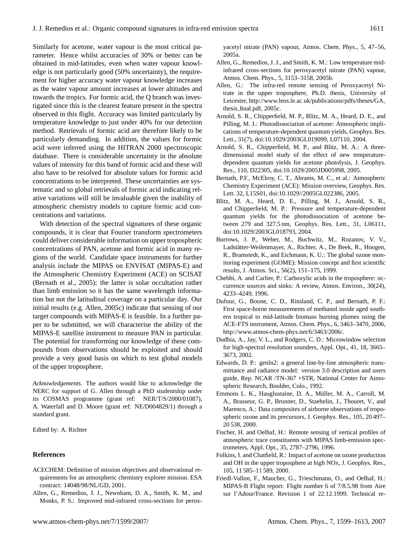Similarly for acetone, water vapour is the most critical parameter. Hence whilst accuracies of 30% or better can be obtained in mid-latitudes, even when water vapour knowledge is not particularly good (50% uncertainty), the requirement for higher accuracy water vapour knowledge increases as the water vapour amount increases at lower altitudes and towards the tropics. For formic acid, the Q branch was investigated since this is the clearest feature present in the spectra observed in this flight. Accuracy was limited particularly by temperature knowledge to just under 40% for our detection method. Retrievals of formic acid are therefore likely to be particularly demanding. In addition, the values for formic acid were inferred using the HITRAN 2000 spectroscopic database. There is considerable uncertainty in the absolute values of intensity for this band of formic acid and these will also have to be resolved for absolute values for formic acid concentrations to be interpreted. These uncertainties are systematic and so global retrievals of formic acid indicating relative variations will still be invaluable given the inability of atmospheric chemistry models to capture formic acid concentrations and variations.

With detection of the spectral signatures of these organic compounds, it is clear that Fourier transform spectrometers could deliver considerable information on upper tropospheric concentrations of PAN, acetone and formic acid in many regions of the world. Candidate space instruments for further analysis include the MIPAS on ENVISAT (MIPAS-E) and the Atmospheric Chemistry Experiment (ACE) on SCISAT [\(Bernath et al.,](#page-12-14) [2005\)](#page-12-14); the latter is solar occultation rather than limb emission so it has the same wavelength information but not the latitudinal coverage on a particular day. Our initial results (e.g. [Allen,](#page-12-15) [2005c\)](#page-12-15) indicate that sensing of our target compounds with MIPAS-E is feasible. In a further paper to be submitted, we will characterise the ability of the MIPAS-E satellite instrument to measure PAN in particular. The potential for transforming our knowledge of these compounds from observations should be exploited and should provide a very good basis on which to test global models of the upper troposphere.

*Acknowledgements.* The authors would like to acknowledge the NERC for support of G. Allen through a PhD studentship under its COSMAS programme (grant ref: NER/T/S/2000/01087), A. Waterfall and D. Moore (grant ref: NE/D004829/1) through a standard grant.

Edited by: A. Richter

#### **References**

- <span id="page-12-8"></span>ACECHEM: Definition of mission objectives and observational requirements for an atmospheric chemistry explorer mission. ESA contract: 14048/98/NL/GD, 2001.
- <span id="page-12-4"></span>Allen, G., Remedios, J. J., Newnham, D. A., Smith, K. M., and Monks, P. S.: Improved mid-infrared cross-sections for perox-

yacetyl nitrate (PAN) vapour, Atmos. Chem. Phys., 5, 47–56, 2005a.

- <span id="page-12-5"></span>Allen, G., Remedios, J. J., and Smith, K. M.: Low temperature midinfrared cross-sections for peroxyacetyl nitrate (PAN) vapour, Atmos. Chem. Phys., 5, 3153–3158, 2005b.
- <span id="page-12-15"></span>Allen, G.: The infra-red remote sensing of Peroxyacetyl Nitrate in the upper troposphere, Ph.D. thesis, University of Leicester, [http://www.leos.le.ac.uk/publications/pdfs/theses/GA](http://www.leos.le.ac.uk/publications/pdfs/theses/GA_thesis_final.pdf) thesis [final.pdf,](http://www.leos.le.ac.uk/publications/pdfs/theses/GA_thesis_final.pdf) 2005c.
- <span id="page-12-11"></span>Arnold, S. R., Chipperfield, M. P., Blitz, M. A., Heard, D. E., and Pilling, M. J.: Photodissociation of acetone: Atmospheric implications of temperature-dependent quantum yields, Geophys. Res. Lett., 31(7), doi:10.1029/2003GL019099, L07110, 2004.
- <span id="page-12-10"></span>Arnold, S. R., Chipperfield, M. P., and Blitz, M. A.: A threedimensional model study of the effect of new temperaturedependent quantum yields for acetone photolysis, J. Geophys. Res., 110, D22305, doi:10.1029/2005JD005998, 2005.
- <span id="page-12-14"></span>Bernath, P.F., McElroy, C. T., Abrams, M. C., et al.: Atmospheric Chemistry Experiment (ACE): Mission overview, Geophys. Res. Lett. 32, L15S01, doi:10.1029//2005GL022386, 2005.
- <span id="page-12-12"></span>Blitz, M. A., Heard, D. E., Pilling, M. J., Arnold, S. R., and Chipperfield, M. P.: Pressure and temperature-dependent quantum yields for the photodissociation of acetone between 279 and 327.5 nm, Geophys. Res. Lett., 31, L06111, doi:10.1029/2003GL018793, 2004.
- <span id="page-12-2"></span>Burrows, J. P., Weber, M., Buchwitz, M., Rozanov, V. V., Ladstätter-Weilenmayer, A., Richter, A., De Beek, R., Hoogen, R., Bramstedt, K., and Eichmann, K. U.: The global ozone monitoring experiment (GOME): Mission concept and first scientific results, J. Atmos. Sci., 56(2), 151–175, 1999.
- <span id="page-12-1"></span>Chebbi, A. and Carlier, P.: Carboxylic acids in the troposphere: occurrence sources and sinks: A review, Atmos. Environ., 30(24), 4233–4249, 1996.
- <span id="page-12-3"></span>Dufour, G., Boone, C. D., Rinsland, C. P., and Bernath, P. F.: First space-borne measurements of methanol inside aged southern tropical to mid-latitude biomass burning plumes using the ACE-FTS instrument, Atmos. Chem. Phys., 6, 3463–3470, 2006, [http://www.atmos-chem-phys.net/6/3463/2006/.](http://www.atmos-chem-phys.net/6/3463/2006/)
- <span id="page-12-13"></span>Dudhia, A., Jay, V. L., and Rodgers, C. D.: Microwindow selection for high-spectral resolution sounders, Appl. Opt., 41, 18, 3665– 3673, 2002.
- Edwards, D. P.: genln2: a general line-by-line atmospheric transmittance and radiance model: version 3.0 description and users guide, Rep. NCAR /TN-367 +STR, National Center for Atmospheric Research, Boulder, Colo., 1992.
- <span id="page-12-9"></span>Emmons L. K., Hauglustaine, D. A., Müller, M. A., Carroll, M. A., Brasseur, G. P., Brunner, D., Staehelin, J., Thouret, V., and Marenco, A.: Data composites of airborne observations of tropospheric ozone and its precursors, J. Geophys. Res., 105, 20 497– 20 538, 2000.
- <span id="page-12-6"></span>Fischer, H. and Oelhaf, H.: Remote sensing of vertical profiles of atmospheric trace constituents with MIPAS limb-emission spectrometers, Appl. Opt., 35, 2787–2796, 1996.
- <span id="page-12-0"></span>Folkins, I. and Chatfield, R.: Impact of acetone on ozone production and OH in the upper troposphere at high NOx, J. Geophys. Res., 105, 11 585–11 589, 2000.
- <span id="page-12-7"></span>Friedl-Vallon, F., Maucher, G., Trieschmann, O., and Oelhaf, H.: MIPAS-B Flight report: Flight number 6 of 7/8.5.98 from Aire sur l'Adour/France. Revision 1 of 22.12.1999. Technical re-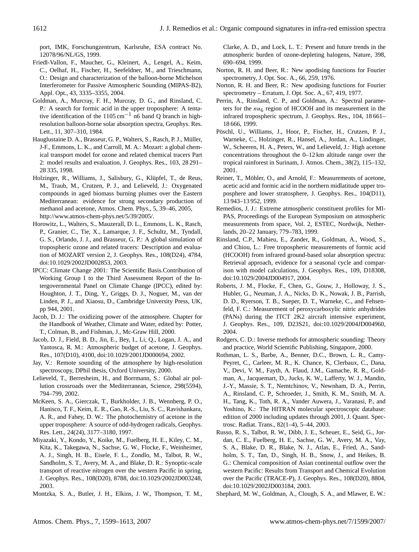port, IMK, Forschungzentrum, Karlsruhe, ESA contract No. 12078/96/NL/GS, 1999.

- <span id="page-13-8"></span>Friedl-Vallon, F., Maucher, G., Kleinert, A., Lengel, A., Keim, C., Oelhaf, H., Fischer, H., Seefeldner, M., and Trieschmann, O.: Design and characterization of the balloon-borne Michelson Interferometer for Passive Atmospheric Sounding (MIPAS-B2), Appl. Opt., 43, 3335–3355, 2004.
- <span id="page-13-5"></span>Goldman, A., Murcray, F. H., Murcray, D. G., and Rinsland, C. P.: A search for formic acid in the upper troposphere: A tentative identification of the 1105 cm<sup>-1</sup> n6 band Q branch in highresolution balloon-borne solar absorption spectra, Geophys. Res. Lett., 11, 307–310, 1984.
- <span id="page-13-16"></span>Hauglustaine D. A., Brasseur, G. P., Walters, S., Rasch, P. J., Müller, J-F., Emmons, L. K., and Carroll, M. A.: Mozart: a global chemical transport model for ozone and related chemical tracers Part 2: model results and evaluation, J. Geophys. Res., 103, 28 291– 28 335, 1998.
- <span id="page-13-11"></span>Holzinger, R., Williams, J., Salisbury, G., Klüpfel, T., de Reus, M., Traub, M., Crutzen, P. J., and Lelieveld, J.: Oxygenated compounds in aged biomass burning plumes over the Eastern Mediterranean: evidence for strong secondary production of methanol and acetone, Atmos. Chem. Phys., 5, 39–46, 2005, [http://www.atmos-chem-phys.net/5/39/2005/.](http://www.atmos-chem-phys.net/5/39/2005/)
- <span id="page-13-20"></span>Horowitz, L., Walters, S., Mauzerall, D. L., Emmons, L. K., Rasch, P., Granier, C., Tie, X., Lamarque, J. F., Schultz, M., Tyndall, G. S., Orlando, J. J., and Brasseur, G. P.: A global simulation of tropospheric ozone and related tracers: Description and evaluation of MOZART version 2, J. Geophys. Res., 108(D24), 4784, doi:10.1029/2002JD002853, 2003.
- <span id="page-13-21"></span>IPCC: Climate Change 2001: The Scientific Basis.Contribution of Working Group I to the Third Assessment Report of the Intergovernmental Panel on Climate Change (IPCC), edited by: Houghton, J. T., Ding, Y., Griggs, D. J., Noguer, M., van der Linden, P. J., and Xiaosu, D., Cambridge University Press, UK, pp 944, 2001.
- <span id="page-13-0"></span>Jacob, D. J.: The oxidizing power of the atmosphere. Chapter for the Handbook of Weather, Climate and Water, edited by: Potter, T., Colman, B., and Fishman, J., Mc-Graw Hill, 2000.
- <span id="page-13-19"></span>Jacob, D. J., Field, B. D., Jin, E., Bey, I., Li, Q., Logan, J. A., and Yantosca, R. M.: Atmospheric budget of acetone, J. Geophys. Res., 107(D10), 4100, doi:10.1029/2001JD000694, 2002.
- <span id="page-13-14"></span>Jay, V.: Remote sounding of the atmosphere by high-resolution spectroscopy, DPhil thesis, Oxford University, 2000.
- <span id="page-13-12"></span>Lelieveld, T., Berresheim, H., and Borrmann, S.: Global air pollution crossroads over the Mediterranean, Science, 298(5594), 794–799, 2002.
- McKeen, S. A., Gierczak, T., Burkholder, J. B., Wennberg, P. O., Hanisco, T. F., Keim, E. R., Gao, R.-S., Liu, S. C., Ravishankara, A. R., and Fahey, D. W.: The photochemistry of acetone in the upper troposphere: A source of odd-hydrogen radicals, Geophys. Res. Lett., 24(24), 3177–3180, 1997.
- <span id="page-13-18"></span>Miyazaki, Y., Kondo, Y., Koike, M., Fuelberg, H. E., Kiley, C. M., Kita, K., Takegawa, N., Sachse, G. W., Flocke, F., Weinheimer, A. J., Singh, H. B., Eisele, F. L., Zondlo, M., Talbot, R. W., Sandholm, S. T., Avery, M. A., and Blake, D. R.: Synoptic-scale transport of reactive nitrogen over the western Pacific in spring, J. Geophys. Res., 108(D20), 8788, doi:10.1029/2002JD003248, 2003.
- <span id="page-13-17"></span>Montzka, S. A., Butler, J. H., Elkins, J. W., Thompson, T. M.,

Clarke, A. D., and Lock, L. T.: Present and future trends in the atmospheric burden of ozone-depleting halogens, Nature, 398, 690–694, 1999.

- <span id="page-13-9"></span>Norton, R. H. and Beer, R.: New apodising functions for Fourier spectrometry, J. Opt. Soc. A., 66, 259, 1976.
- <span id="page-13-10"></span>Norton, R. H. and Beer, R.: New apodising functions for Fourier spectrometry – Erratum, J. Opt. Soc. A., 67, 419, 1977.
- <span id="page-13-23"></span>Perrin, A., Rinsland, C. P., and Goldman, A.: Spectral parameters for the  $nu_6$  region of HCOOH and its measurement in the infrared tropospheric spectrum, J. Geophys. Res., 104, 18 661– 18 666, 1999.
- <span id="page-13-2"></span>Pöschl, U., Williams, J., Hoor, P., Fischer, H., Crutzen, P. J., Warneke, C., Holzinger, R., Hansel, A., Jordan, A., Lindinger, W., Scheeren, H. A., Peters, W., and Lelieveld, J.: High acetone concentrations throughout the 0–12 km altitude range over the tropical rainforest in Surinam, J. Atmos. Chem., 38(2), 115–132, 2001.
- <span id="page-13-4"></span>Reiner, T., Möhler, O., and Arnold, F.: Measurements of acetone, acetic acid and formic acid in the northern midlatitude upper troposphere and lower stratosphere, J. Geophys. Res., 104(D11), 13 943–13 952, 1999.
- <span id="page-13-15"></span>Remedios, J. J.: Extreme atmospheric constituent profiles for MI-PAS, Proceedings of the European Symposium on atmospheric measurements from space, Vol. 2, ESTEC, Nordwijk, Netherlands, 20–22 January, 779–783, 1999.
- <span id="page-13-7"></span>Rinsland, C.P., Mahieu, E., Zander, R., Goldman, A., Wood, S., and Chiou, L.: Free tropospheric measurements of formic acid (HCOOH) from infrared ground-based solar absorption spectra: Retrieval approach, evidence for a seasonal cycle and comparison with model calculations, J. Geophys. Res., 109, D18308, doi:10.1029/2004JD004917, 2004.
- <span id="page-13-3"></span>Roberts, J. M., Flocke, F., Chen, G., Gouw, J., Holloway, J. S., Hubler, G., Neuman, J. A., Nicks, D. K., Nowak, J. B., Parrish, D. D., Ryerson, T. B., Sueper, D. T., Warneke, C., and Fehsenfeld, F. C.: Measurement of peroxycarboxylic nitric anhydrides (PANs) during the ITCT 2K2 aircraft intensive experiment, J. Geophys. Res., 109, D23S21, doi:10.1029/2004JD004960, 2004.
- <span id="page-13-22"></span>Rodgers, C. D.: Inverse methods for atmospheric sounding: Theory and practice, World Scientific Publishing, Singapore, 2000.
- <span id="page-13-13"></span>Rothman, L. S., Barbe, A., Benner, D.C., Brown, L. R., Camy-Peyret, C., Carleer, M. R., K. Chance, K, Clerbaux, C., Dana, V., Devi, V. M., Fayth, A. Flaud, J.M., Gamache, R. R., Goldman, A., Jacquemart, D., Jucks, K. W., Lafferty, W. J., Mandin, J.-Y., Massie, S. T., Nemtchinov, V., Newnham, D. A., Perrin, A., Rinsland, C. P., Schroeder, J., Smith, K. M., Smith, M. A. H., Tang, K., Toth, R. A., Vander Auwera, J., Varanasi, P., and Yoshino, K.: The HITRAN molecular spectroscopic database: edition of 2000 including updates through 2001, J. Quant. Spectrosc. Radiat. Trans., 82(1–4), 5–44, 2003.
- <span id="page-13-1"></span>Russo, R. S., Talbot, R. W., Dibb, J. E., Scheuer, E., Seid, G., Jordan, C. E., Fuelberg, H. E., Sachse, G. W., Avery, M. A., Vay, S. A., Blake, D. R., Blake, N. J., Atlas, E., Fried, A., Sandholm, S. T., Tan, D., Singh, H. B., Snow, J., and Heikes, B. G.: Chemical composition of Asian continental outflow over the western Pacific: Results from Transport and Chemical Evolution over the Pacific (TRACE-P), J. Geophys. Res., 108(D20), 8804, doi:10.1029/2002JD003184, 2003.
- <span id="page-13-6"></span>Shephard, M. W., Goldman, A., Clough, S. A., and Mlawer, E. W.: